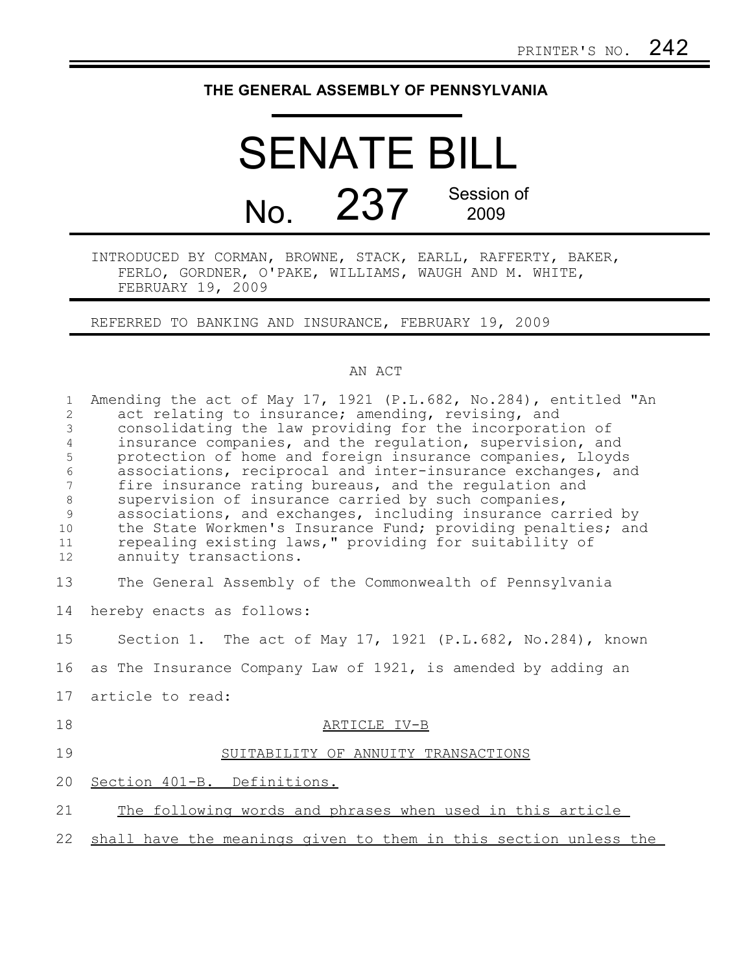## **THE GENERAL ASSEMBLY OF PENNSYLVANIA**

## SENATE BILL No. 237 Session of 2009

INTRODUCED BY CORMAN, BROWNE, STACK, EARLL, RAFFERTY, BAKER, FERLO, GORDNER, O'PAKE, WILLIAMS, WAUGH AND M. WHITE, FEBRUARY 19, 2009

REFERRED TO BANKING AND INSURANCE, FEBRUARY 19, 2009

## AN ACT

| $\mathbf{1}$<br>$\overline{2}$<br>3<br>$\overline{4}$<br>5<br>$\epsilon$<br>7<br>$\,8\,$<br>9<br>10<br>11<br>12 | Amending the act of May 17, 1921 (P.L.682, No.284), entitled "An<br>act relating to insurance; amending, revising, and<br>consolidating the law providing for the incorporation of<br>insurance companies, and the requiation, supervision, and<br>protection of home and foreign insurance companies, Lloyds<br>associations, reciprocal and inter-insurance exchanges, and<br>fire insurance rating bureaus, and the regulation and<br>supervision of insurance carried by such companies,<br>associations, and exchanges, including insurance carried by<br>the State Workmen's Insurance Fund; providing penalties; and<br>repealing existing laws," providing for suitability of<br>annuity transactions. |
|-----------------------------------------------------------------------------------------------------------------|----------------------------------------------------------------------------------------------------------------------------------------------------------------------------------------------------------------------------------------------------------------------------------------------------------------------------------------------------------------------------------------------------------------------------------------------------------------------------------------------------------------------------------------------------------------------------------------------------------------------------------------------------------------------------------------------------------------|
| 13                                                                                                              | The General Assembly of the Commonwealth of Pennsylvania                                                                                                                                                                                                                                                                                                                                                                                                                                                                                                                                                                                                                                                       |
| 14                                                                                                              | hereby enacts as follows:                                                                                                                                                                                                                                                                                                                                                                                                                                                                                                                                                                                                                                                                                      |
| 15                                                                                                              | Section 1. The act of May 17, 1921 (P.L.682, No.284), known                                                                                                                                                                                                                                                                                                                                                                                                                                                                                                                                                                                                                                                    |
| 16                                                                                                              | as The Insurance Company Law of 1921, is amended by adding an                                                                                                                                                                                                                                                                                                                                                                                                                                                                                                                                                                                                                                                  |
| 17                                                                                                              | article to read:                                                                                                                                                                                                                                                                                                                                                                                                                                                                                                                                                                                                                                                                                               |
| 18                                                                                                              | ARTICLE IV-B                                                                                                                                                                                                                                                                                                                                                                                                                                                                                                                                                                                                                                                                                                   |
| 19                                                                                                              | SUITABILITY OF ANNUITY TRANSACTIONS                                                                                                                                                                                                                                                                                                                                                                                                                                                                                                                                                                                                                                                                            |
| 20                                                                                                              | Section 401-B. Definitions.                                                                                                                                                                                                                                                                                                                                                                                                                                                                                                                                                                                                                                                                                    |
| 21                                                                                                              | The following words and phrases when used in this article                                                                                                                                                                                                                                                                                                                                                                                                                                                                                                                                                                                                                                                      |
| 22                                                                                                              | shall have the meanings given to them in this section unless the                                                                                                                                                                                                                                                                                                                                                                                                                                                                                                                                                                                                                                               |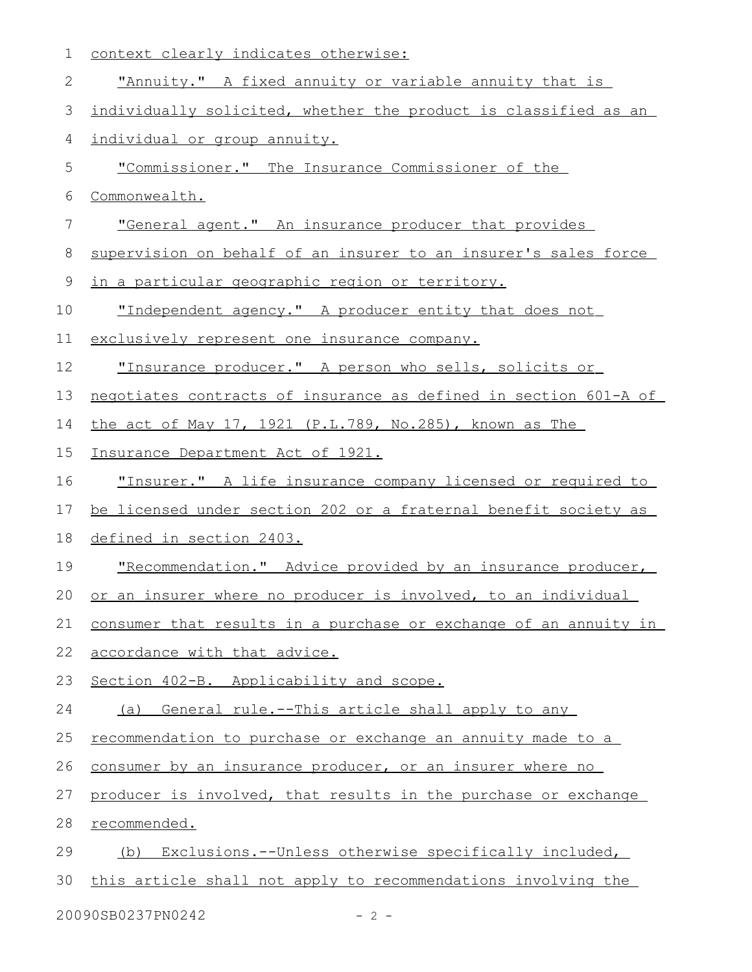| 1           | context clearly indicates otherwise:                                    |
|-------------|-------------------------------------------------------------------------|
| 2           | "Annuity." A fixed annuity or variable annuity that is                  |
| 3           | individually solicited, whether the product is classified as an         |
| 4           | individual or group annuity.                                            |
| 5           | "Commissioner." The Insurance Commissioner of the                       |
| 6           | Commonwealth.                                                           |
| 7           | "General agent." An insurance producer that provides                    |
| 8           | supervision on behalf of an insurer to an insurer's sales force         |
| $\mathsf 9$ | <u>in a particular geographic region or territory.</u>                  |
| 10          | "Independent agency." A producer entity that does not                   |
| 11          | exclusively represent one insurance company.                            |
| 12          | "Insurance producer." A person who sells, solicits or                   |
| 13          | <u>negotiates contracts of insurance as defined in section 601-A of</u> |
| 14          | the act of May 17, 1921 (P.L.789, No.285), known as The                 |
| 15          | <u>Insurance Department Act of 1921.</u>                                |
| 16          | <u>"Insurer." A life insurance company licensed or required to </u>     |
| 17          | be licensed under section 202 or a fraternal benefit society as         |
| 18          | defined in section 2403.                                                |
| 19          | "Recommendation." Advice provided by an insurance producer,             |
| 20          | or an insurer where no producer is involved, to an individual           |
| 21          | consumer that results in a purchase or exchange of an annuity in        |
| 22          | accordance with that advice.                                            |
| 23          | Section 402-B. Applicability and scope.                                 |
| 24          | General rule.--This article shall apply to any<br>(a)                   |
| 25          | recommendation to purchase or exchange an annuity made to a             |
| 26          | consumer by an insurance producer, or an insurer where no               |
| 27          | producer is involved, that results in the purchase or exchange          |
| 28          | recommended.                                                            |
| 29          | Exclusions.--Unless otherwise specifically included,<br>(b)             |
| 30          | this article shall not apply to recommendations involving the           |
|             |                                                                         |

20090SB0237PN0242 - 2 -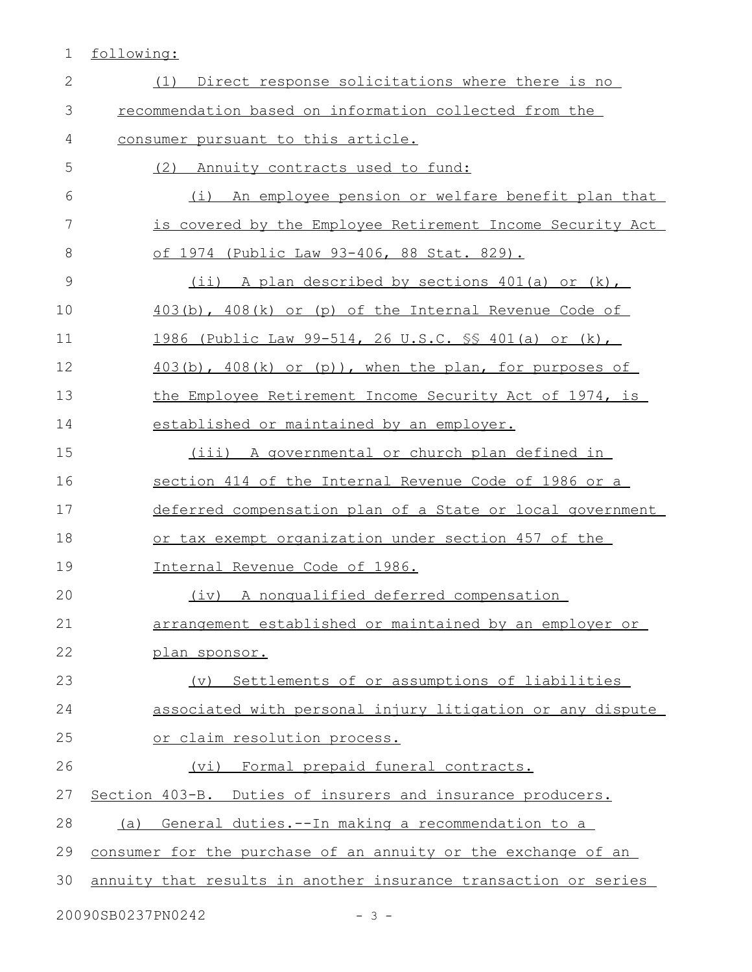1 following:

| $\mathbf{2}$  | Direct response solicitations where there is no<br>(1)          |
|---------------|-----------------------------------------------------------------|
| 3             | recommendation based on information collected from the          |
| 4             | consumer pursuant to this article.                              |
| 5             | (2) Annuity contracts used to fund:                             |
| 6             | (i) An employee pension or welfare benefit plan that            |
| 7             | is covered by the Employee Retirement Income Security Act       |
| 8             | <u>of 1974 (Public Law 93-406, 88 Stat. 829).</u>               |
| $\mathcal{G}$ | (ii) A plan described by sections 401(a) or (k),                |
| 10            | 403(b), 408(k) or (p) of the Internal Revenue Code of           |
| 11            | 1986 (Public Law 99-514, 26 U.S.C. SS 401(a) or (k),            |
| 12            | $403(b)$ , $408(k)$ or $(p)$ ), when the plan, for purposes of  |
| 13            | the Employee Retirement Income Security Act of 1974, is         |
| 14            | established or maintained by an employer.                       |
| 15            | (iii) A governmental or church plan defined in                  |
| 16            | section 414 of the Internal Revenue Code of 1986 or a           |
| 17            | deferred compensation plan of a State or local government       |
| 18            | or tax exempt organization under section 457 of the             |
| 19            | Internal Revenue Code of 1986.                                  |
| 20            | (iv) A nonqualified deferred compensation                       |
| 21            | arrangement established or maintained by an employer or         |
| 22            | plan sponsor.                                                   |
| 23            | Settlements of or assumptions of liabilities<br>$(\nabla)$      |
| 24            | associated with personal injury litigation or any dispute       |
| 25            | or claim resolution process.                                    |
| 26            | (vi) Formal prepaid funeral contracts.                          |
| 27            | Section 403-B. Duties of insurers and insurance producers.      |
| 28            | (a) General duties. -- In making a recommendation to a          |
| 29            | consumer for the purchase of an annuity or the exchange of an   |
| 30            | annuity that results in another insurance transaction or series |

20090SB0237PN0242 - 3 -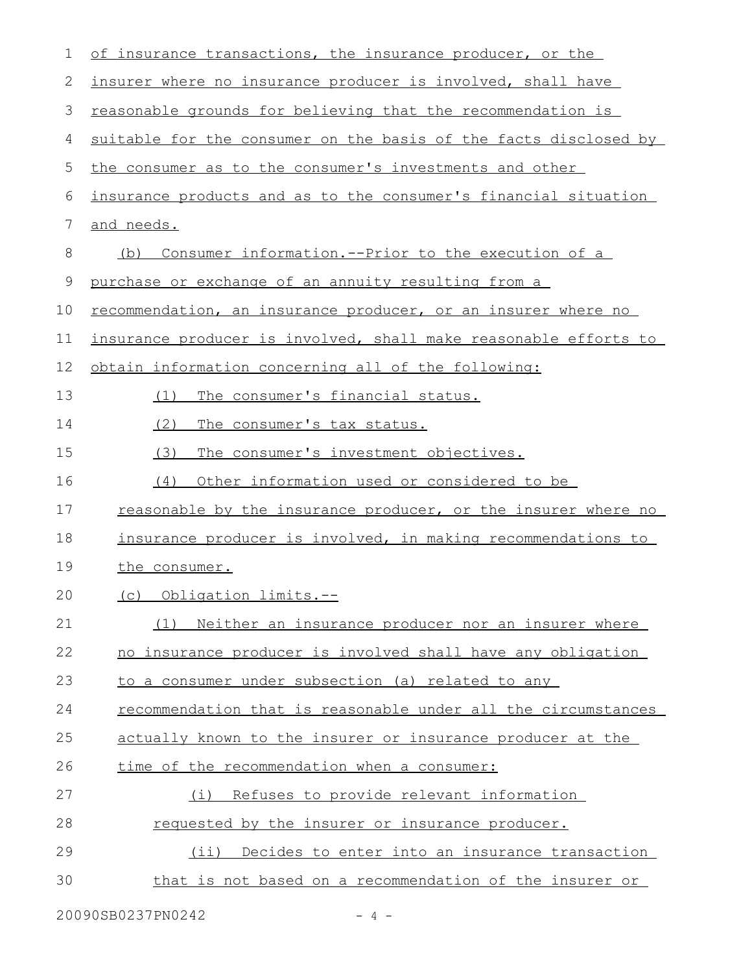| 1  | of insurance transactions, the insurance producer, or the            |
|----|----------------------------------------------------------------------|
| 2  | insurer where no insurance producer is involved, shall have          |
| 3  | reasonable grounds for believing that the recommendation is          |
| 4  | suitable for the consumer on the basis of the facts disclosed by     |
| 5  | the consumer as to the consumer's investments and other              |
| 6  | insurance products and as to the consumer's financial situation      |
| 7  | and needs.                                                           |
| 8  | Consumer information.--Prior to the execution of a<br>(b)            |
| 9  | purchase or exchange of an annuity resulting from a                  |
| 10 | recommendation, an insurance producer, or an insurer where no        |
| 11 | insurance producer is involved, shall make reasonable efforts to     |
| 12 | obtain information concerning all of the following:                  |
| 13 | The consumer's financial status.<br>(1)                              |
| 14 | (2)<br>The consumer's tax status.                                    |
| 15 | The consumer's investment objectives.<br>(3)                         |
| 16 | (4)<br>Other information used or considered to be                    |
| 17 | <u>reasonable by the insurance producer, or the insurer where no</u> |
| 18 | insurance producer is involved, in making recommendations to         |
| 19 | the consumer.                                                        |
| 20 | (c) Obligation limits.--                                             |
| 21 | (1) Neither an insurance producer nor an insurer where               |
| 22 | no insurance producer is involved shall have any obligation          |
| 23 | to a consumer under subsection (a) related to any                    |
| 24 | recommendation that is reasonable under all the circumstances        |
| 25 | actually known to the insurer or insurance producer at the           |
| 26 | time of the recommendation when a consumer:                          |
| 27 | Refuses to provide relevant information<br>(i)                       |
| 28 | requested by the insurer or insurance producer.                      |
| 29 | (ii) Decides to enter into an insurance transaction                  |
| 30 | that is not based on a recommendation of the insurer or              |
|    |                                                                      |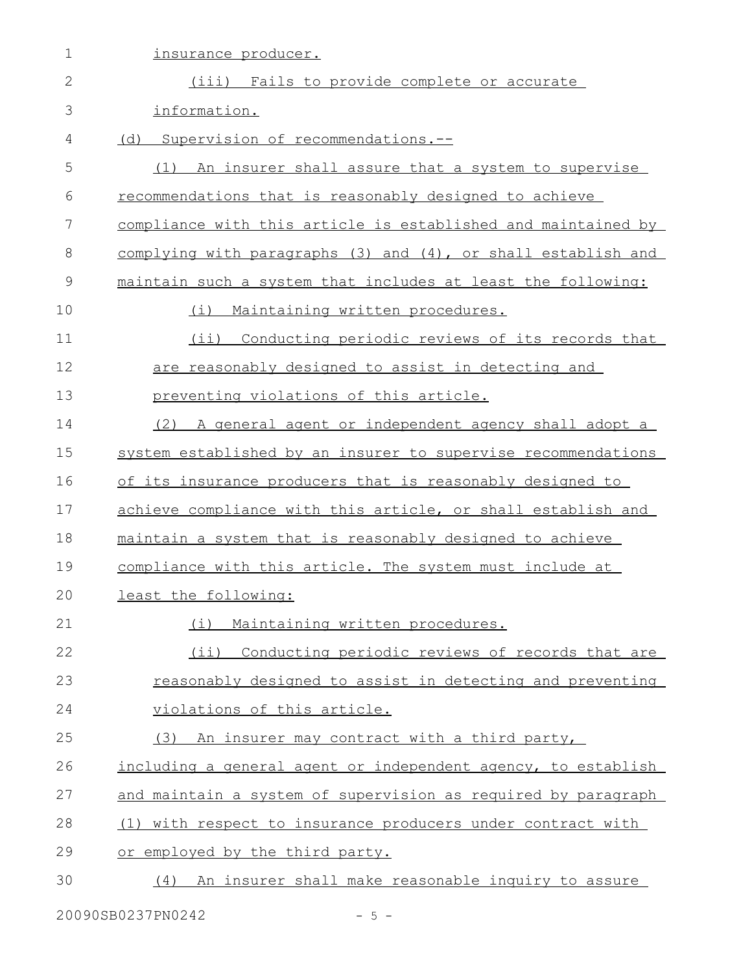| 1             | insurance producer.                                           |
|---------------|---------------------------------------------------------------|
| $\mathbf{2}$  | (iii) Fails to provide complete or accurate                   |
| 3             | information.                                                  |
| 4             | (d)<br>Supervision of recommendations.--                      |
| 5             | (1) An insurer shall assure that a system to supervise        |
| 6             | recommendations that is reasonably designed to achieve        |
| 7             | compliance with this article is established and maintained by |
| 8             | complying with paragraphs (3) and (4), or shall establish and |
| $\mathcal{G}$ | maintain such a system that includes at least the following:  |
| 10            | Maintaining written procedures.<br>(i)                        |
| 11            | $(i$ ii)<br>Conducting periodic reviews of its records that   |
| 12            | are reasonably designed to assist in detecting and            |
| 13            | preventing violations of this article.                        |
| 14            | (2) A general agent or independent agency shall adopt a       |
| 15            | system established by an insurer to supervise recommendations |
| 16            | of its insurance producers that is reasonably designed to     |
| 17            | achieve compliance with this article, or shall establish and  |
| 18            | maintain a system that is reasonably designed to achieve      |
| 19            | compliance with this article. The system must include at      |
| 20            | least the following:                                          |
| 21            | Maintaining written procedures.<br>(i)                        |
| 22            | (ii) Conducting periodic reviews of records that are          |
| 23            | reasonably designed to assist in detecting and preventing     |
| 24            | violations of this article.                                   |
| 25            | (3) An insurer may contract with a third party,               |
| 26            | including a general agent or independent agency, to establish |
| 27            | and maintain a system of supervision as required by paragraph |
| 28            | (1) with respect to insurance producers under contract with   |
| 29            | or employed by the third party.                               |
| 30            | (4) An insurer shall make reasonable inquiry to assure        |
|               |                                                               |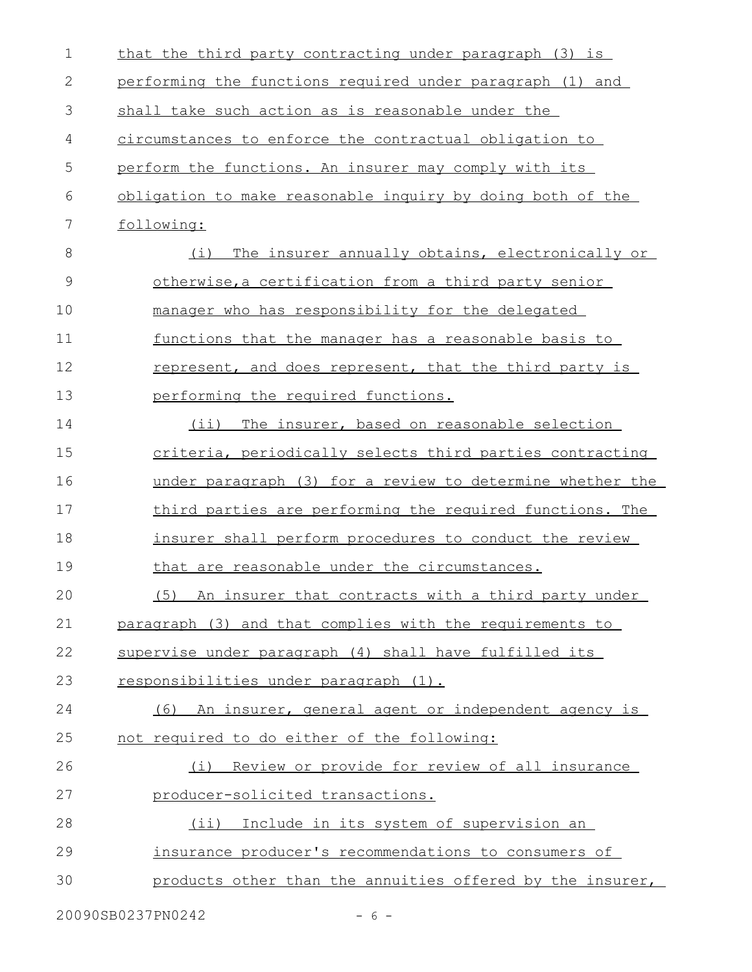| 2<br>performing the functions required under paragraph (1) and<br>3<br>shall take such action as is reasonable under the<br>circumstances to enforce the contractual obligation to<br>4<br>5<br>perform the functions. An insurer may comply with its<br>6<br>obligation to make reasonable inquiry by doing both of the |  |
|--------------------------------------------------------------------------------------------------------------------------------------------------------------------------------------------------------------------------------------------------------------------------------------------------------------------------|--|
|                                                                                                                                                                                                                                                                                                                          |  |
|                                                                                                                                                                                                                                                                                                                          |  |
|                                                                                                                                                                                                                                                                                                                          |  |
|                                                                                                                                                                                                                                                                                                                          |  |
|                                                                                                                                                                                                                                                                                                                          |  |
| 7<br>following:                                                                                                                                                                                                                                                                                                          |  |
| 8<br>The insurer annually obtains, electronically or<br>(i)                                                                                                                                                                                                                                                              |  |
| $\mathcal{G}$<br>otherwise, a certification from a third party senior                                                                                                                                                                                                                                                    |  |
| 10<br>manager who has responsibility for the delegated                                                                                                                                                                                                                                                                   |  |
| 11<br>functions that the manager has a reasonable basis to                                                                                                                                                                                                                                                               |  |
| 12<br>represent, and does represent, that the third party is                                                                                                                                                                                                                                                             |  |
| 13<br>performing the required functions.                                                                                                                                                                                                                                                                                 |  |
| 14<br>(ii) The insurer, based on reasonable selection                                                                                                                                                                                                                                                                    |  |
| 15<br>criteria, periodically selects third parties contracting                                                                                                                                                                                                                                                           |  |
| 16<br>under paragraph (3) for a review to determine whether the                                                                                                                                                                                                                                                          |  |
| 17<br>third parties are performing the required functions. The                                                                                                                                                                                                                                                           |  |
| 18<br>insurer shall perform procedures to conduct the review                                                                                                                                                                                                                                                             |  |
| 19<br>that are reasonable under the circumstances.                                                                                                                                                                                                                                                                       |  |
| 20<br>(5) An insurer that contracts with a third party under                                                                                                                                                                                                                                                             |  |
| 21<br>paragraph (3) and that complies with the requirements to                                                                                                                                                                                                                                                           |  |
| 22<br>supervise under paragraph (4) shall have fulfilled its                                                                                                                                                                                                                                                             |  |
| 23<br>responsibilities under paragraph (1).                                                                                                                                                                                                                                                                              |  |
| 24<br>(6) An insurer, general agent or independent agency is                                                                                                                                                                                                                                                             |  |
| 25<br>not required to do either of the following:                                                                                                                                                                                                                                                                        |  |
| 26<br>(i) Review or provide for review of all insurance                                                                                                                                                                                                                                                                  |  |
| 27<br>producer-solicited transactions.                                                                                                                                                                                                                                                                                   |  |
|                                                                                                                                                                                                                                                                                                                          |  |
| 28<br>(ii) Include in its system of supervision an                                                                                                                                                                                                                                                                       |  |
| 29<br>insurance producer's recommendations to consumers of                                                                                                                                                                                                                                                               |  |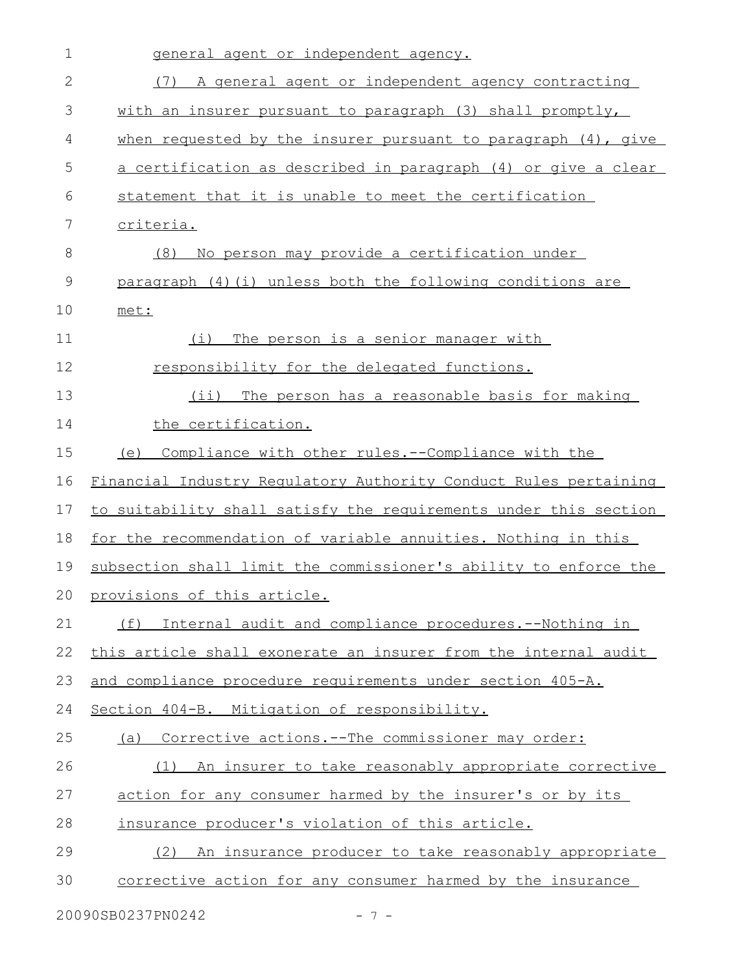| $\mathbf 1$ | general agent or independent agency.                             |
|-------------|------------------------------------------------------------------|
| 2           | (7) A general agent or independent agency contracting            |
| 3           | with an insurer pursuant to paragraph (3) shall promptly,        |
| 4           | when requested by the insurer pursuant to paragraph (4), give    |
| 5           | a certification as described in paragraph (4) or give a clear    |
| 6           | statement that it is unable to meet the certification            |
| 7           | criteria.                                                        |
| 8           | No person may provide a certification under<br>(8)               |
| 9           | paragraph (4) (i) unless both the following conditions are       |
| 10          | met:                                                             |
| 11          | (i)<br>The person is a senior manager with                       |
| 12          | responsibility for the delegated functions.                      |
| 13          | (ii) The person has a reasonable basis for making                |
| 14          | the certification.                                               |
| 15          | (e) Compliance with other rules.--Compliance with the            |
| 16          | Financial Industry Regulatory Authority Conduct Rules pertaining |
| 17          | to suitability shall satisfy the requirements under this section |
| 18          | for the recommendation of variable annuities. Nothing in this    |
| 19          | subsection shall limit the commissioner's ability to enforce the |
|             | 20 provisions of this article.                                   |
| 21          | Internal audit and compliance procedures. -- Nothing in<br>(f)   |
| 22          | this article shall exonerate an insurer from the internal audit  |
| 23          | and compliance procedure requirements under section 405-A.       |
| 24          | Section 404-B. Mitigation of responsibility.                     |
| 25          | (a) Corrective actions.--The commissioner may order:             |
| 26          | (1) An insurer to take reasonably appropriate corrective         |
| 27          | action for any consumer harmed by the insurer's or by its        |
| 28          | insurance producer's violation of this article.                  |
| 29          | (2) An insurance producer to take reasonably appropriate         |
| 30          | corrective action for any consumer harmed by the insurance       |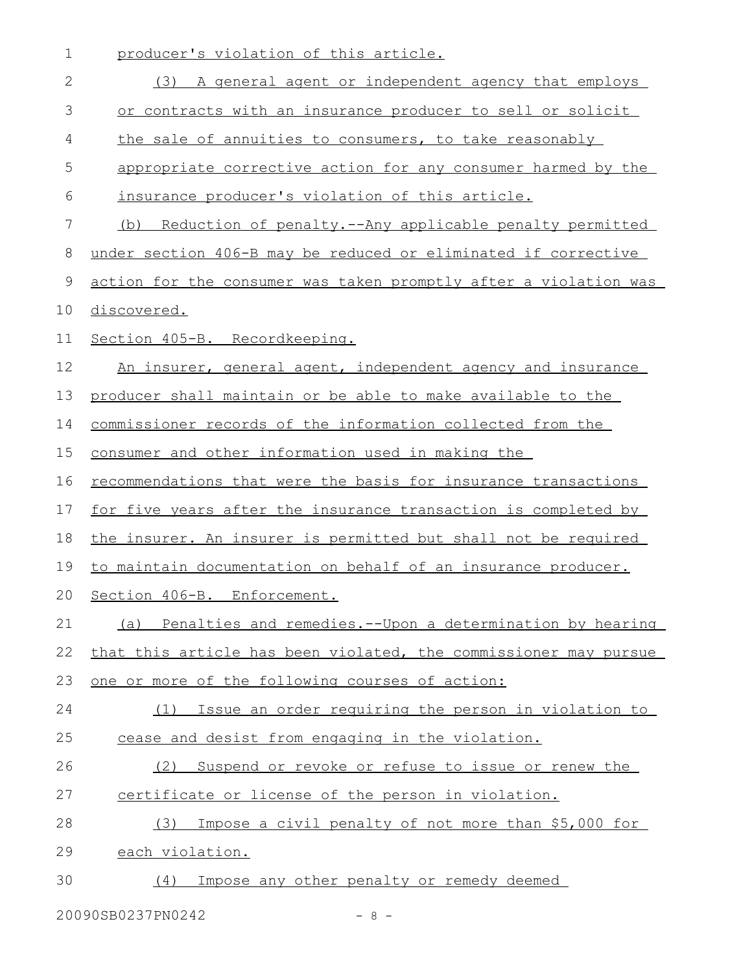| 1            | producer's violation of this article.                                 |
|--------------|-----------------------------------------------------------------------|
| $\mathbf{2}$ | (3) A general agent or independent agency that employs                |
| 3            | or contracts with an insurance producer to sell or solicit            |
| 4            | the sale of annuities to consumers, to take reasonably                |
| 5            | appropriate corrective action for any consumer harmed by the          |
| 6            | insurance producer's violation of this article.                       |
| 7            | (b) Reduction of penalty.--Any applicable penalty permitted           |
| 8            | under section 406-B may be reduced or eliminated if corrective        |
| 9            | action for the consumer was taken promptly after a violation was      |
| 10           | discovered.                                                           |
| 11           | Section 405-B. Recordkeeping.                                         |
| 12           | An insurer, general agent, independent agency and insurance           |
| 13           | producer shall maintain or be able to make available to the           |
| 14           | commissioner records of the information collected from the            |
| 15           | consumer and other information used in making the                     |
| 16           | recommendations that were the basis for insurance transactions        |
| 17           | <u>for five years after the insurance transaction is completed by</u> |
| 18           | the insurer. An insurer is permitted but shall not be required        |
| 19           | to maintain documentation on behalf of an insurance producer.         |
| 20           | Section 406-B. Enforcement.                                           |
| 21           | (a) Penalties and remedies.--Upon a determination by hearing          |
| 22           | that this article has been violated, the commissioner may pursue      |
| 23           | one or more of the following courses of action:                       |
| 24           | Issue an order requiring the person in violation to<br>(1)            |
| 25           | cease and desist from engaging in the violation.                      |
| 26           | Suspend or revoke or refuse to issue or renew the<br>(2)              |
| 27           | certificate or license of the person in violation.                    |
| 28           | Impose a civil penalty of not more than \$5,000 for<br>(3)            |
| 29           | each violation.                                                       |
| 30           | Impose any other penalty or remedy deemed<br>(4)                      |

20090SB0237PN0242 - 8 -